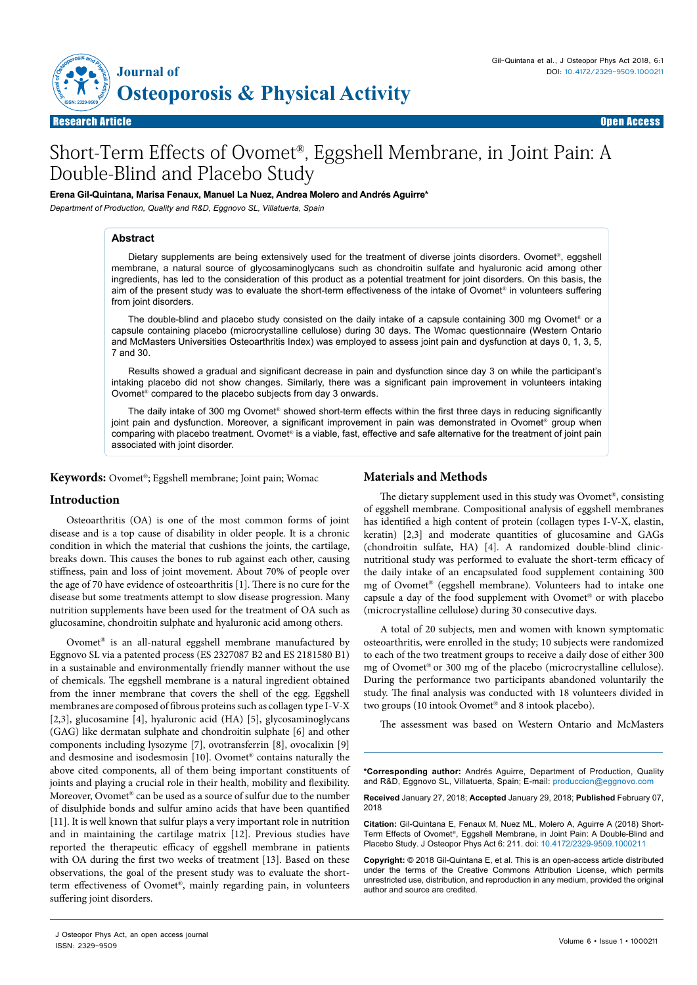

Research Article Open Access

# Short-Term Effects of Ovomet®, Eggshell Membrane, in Joint Pain: A Double-Blind and Placebo Study

**Erena Gil-Quintana, Marisa Fenaux, Manuel La Nuez, Andrea Molero and Andrés Aguirre\***

*Department of Production, Quality and R&D, Eggnovo SL, Villatuerta, Spain*

### **Abstract**

Dietary supplements are being extensively used for the treatment of diverse joints disorders. Ovomet®, eggshell membrane, a natural source of glycosaminoglycans such as chondroitin sulfate and hyaluronic acid among other ingredients, has led to the consideration of this product as a potential treatment for joint disorders. On this basis, the aim of the present study was to evaluate the short-term effectiveness of the intake of Ovomet® in volunteers suffering from joint disorders.

The double-blind and placebo study consisted on the daily intake of a capsule containing 300 mg Ovomet<sup>®</sup> or a capsule containing placebo (microcrystalline cellulose) during 30 days. The Womac questionnaire (Western Ontario and McMasters Universities Osteoarthritis Index) was employed to assess joint pain and dysfunction at days 0, 1, 3, 5, 7 and 30.

Results showed a gradual and significant decrease in pain and dysfunction since day 3 on while the participant's intaking placebo did not show changes. Similarly, there was a significant pain improvement in volunteers intaking Ovomet® compared to the placebo subjects from day 3 onwards.

The daily intake of 300 mg Ovomet® showed short-term effects within the first three days in reducing significantly joint pain and dysfunction. Moreover, a significant improvement in pain was demonstrated in Ovomet® group when comparing with placebo treatment. Ovomet® is a viable, fast, effective and safe alternative for the treatment of joint pain associated with joint disorder.

**Keywords:** Ovomet®; Eggshell membrane; Joint pain; Womac

## **Introduction**

Osteoarthritis (OA) is one of the most common forms of joint disease and is a top cause of disability in older people. It is a chronic condition in which the material that cushions the joints, the cartilage, breaks down. This causes the bones to rub against each other, causing stiffness, pain and loss of joint movement. About 70% of people over the age of 70 have evidence of osteoarthritis [1]. There is no cure for the disease but some treatments attempt to slow disease progression. Many nutrition supplements have been used for the treatment of OA such as glucosamine, chondroitin sulphate and hyaluronic acid among others.

Ovomet® is an all-natural eggshell membrane manufactured by Eggnovo SL via a patented process (ES 2327087 B2 and ES 2181580 B1) in a sustainable and environmentally friendly manner without the use of chemicals. The eggshell membrane is a natural ingredient obtained from the inner membrane that covers the shell of the egg. Eggshell membranes are composed of fibrous proteins such as collagen type I-V-X [2,3], glucosamine [4], hyaluronic acid (HA) [5], glycosaminoglycans (GAG) like dermatan sulphate and chondroitin sulphate [6] and other components including lysozyme [7], ovotransferrin [8], ovocalixin [9] and desmosine and isodesmosin [10]. Ovomet® contains naturally the above cited components, all of them being important constituents of joints and playing a crucial role in their health, mobility and flexibility. Moreover, Ovomet® can be used as a source of sulfur due to the number of disulphide bonds and sulfur amino acids that have been quantified [11]. It is well known that sulfur plays a very important role in nutrition and in maintaining the cartilage matrix [12]. Previous studies have reported the therapeutic efficacy of eggshell membrane in patients with OA during the first two weeks of treatment [13]. Based on these observations, the goal of the present study was to evaluate the shortterm effectiveness of Ovomet®, mainly regarding pain, in volunteers suffering joint disorders.

# **Materials and Methods**

The dietary supplement used in this study was Ovomet®, consisting of eggshell membrane. Compositional analysis of eggshell membranes has identified a high content of protein (collagen types I-V-X, elastin, keratin) [2,3] and moderate quantities of glucosamine and GAGs (chondroitin sulfate, HA) [4]. A randomized double-blind clinicnutritional study was performed to evaluate the short-term efficacy of the daily intake of an encapsulated food supplement containing 300 mg of Ovomet® (eggshell membrane). Volunteers had to intake one capsule a day of the food supplement with Ovomet® or with placebo (microcrystalline cellulose) during 30 consecutive days.

A total of 20 subjects, men and women with known symptomatic osteoarthritis, were enrolled in the study; 10 subjects were randomized to each of the two treatment groups to receive a daily dose of either 300 mg of Ovomet® or 300 mg of the placebo (microcrystalline cellulose). During the performance two participants abandoned voluntarily the study. The final analysis was conducted with 18 volunteers divided in two groups (10 intook Ovomet® and 8 intook placebo).

The assessment was based on Western Ontario and McMasters

**\*Corresponding author:** Andrés Aguirre, Department of Production, Quality and R&D, Eggnovo SL, Villatuerta, Spain; E-mail: produccion@eggnovo.com

**Received** January 27, 2018; **Accepted** January 29, 2018; **Published** February 07, 2018

**Citation:** Gil-Quintana E, Fenaux M, Nuez ML, Molero A, Aguirre A (2018) Short-Term Effects of Ovomet®, Eggshell Membrane, in Joint Pain: A Double-Blind and Placebo Study. J Osteopor Phys Act 6: 211. doi: 10.4172/2329-9509.1000211

**Copyright:** © 2018 Gil-Quintana E, et al. This is an open-access article distributed under the terms of the Creative Commons Attribution License, which permits unrestricted use, distribution, and reproduction in any medium, provided the original author and source are credited.

J Osteopor Phys Act, an open access journal<br>ISSN: 2329-9509 ISSN: 2329-9509 Volume 6 • Issue 1 • 1000211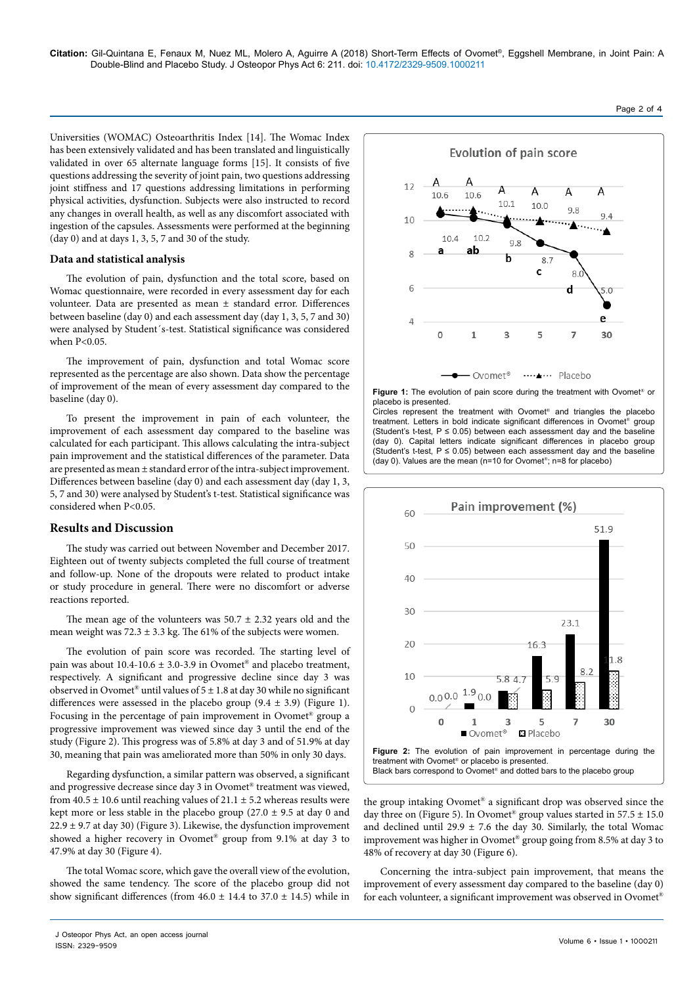Universities (WOMAC) Osteoarthritis Index [14]. The Womac Index has been extensively validated and has been translated and linguistically validated in over 65 alternate language forms [15]. It consists of five questions addressing the severity of joint pain, two questions addressing joint stiffness and 17 questions addressing limitations in performing physical activities, dysfunction. Subjects were also instructed to record any changes in overall health, as well as any discomfort associated with ingestion of the capsules. Assessments were performed at the beginning (day 0) and at days 1, 3, 5, 7 and 30 of the study.

#### **Data and statistical analysis**

The evolution of pain, dysfunction and the total score, based on Womac questionnaire, were recorded in every assessment day for each volunteer. Data are presented as mean ± standard error. Differences between baseline (day 0) and each assessment day (day 1, 3, 5, 7 and 30) were analysed by Student´s-test. Statistical significance was considered when P<0.05.

The improvement of pain, dysfunction and total Womac score represented as the percentage are also shown. Data show the percentage of improvement of the mean of every assessment day compared to the baseline (day 0).

To present the improvement in pain of each volunteer, the improvement of each assessment day compared to the baseline was calculated for each participant. This allows calculating the intra-subject pain improvement and the statistical differences of the parameter. Data are presented as mean ± standard error of the intra-subject improvement. Differences between baseline (day 0) and each assessment day (day 1, 3, 5, 7 and 30) were analysed by Student's t-test. Statistical significance was considered when P<0.05.

#### **Results and Discussion**

The study was carried out between November and December 2017. Eighteen out of twenty subjects completed the full course of treatment and follow-up. None of the dropouts were related to product intake or study procedure in general. There were no discomfort or adverse reactions reported.

The mean age of the volunteers was  $50.7 \pm 2.32$  years old and the mean weight was  $72.3 \pm 3.3$  kg. The 61% of the subjects were women.

The evolution of pain score was recorded. The starting level of pain was about 10.4-10.6 ± 3.0-3.9 in Ovomet® and placebo treatment, respectively. A significant and progressive decline since day 3 was observed in Ovomet® until values of  $5 \pm 1.8$  at day 30 while no significant differences were assessed in the placebo group  $(9.4 \pm 3.9)$  (Figure 1). Focusing in the percentage of pain improvement in Ovomet® group a progressive improvement was viewed since day 3 until the end of the study (Figure 2). This progress was of 5.8% at day 3 and of 51.9% at day 30, meaning that pain was ameliorated more than 50% in only 30 days.

Regarding dysfunction, a similar pattern was observed, a significant and progressive decrease since day 3 in Ovomet® treatment was viewed, from  $40.5 \pm 10.6$  until reaching values of  $21.1 \pm 5.2$  whereas results were kept more or less stable in the placebo group (27.0  $\pm$  9.5 at day 0 and  $22.9 \pm 9.7$  at day 30) (Figure 3). Likewise, the dysfunction improvement showed a higher recovery in Ovomet® group from 9.1% at day 3 to 47.9% at day 30 (Figure 4).

The total Womac score, which gave the overall view of the evolution, showed the same tendency. The score of the placebo group did not show significant differences (from  $46.0 \pm 14.4$  to  $37.0 \pm 14.5$ ) while in



Figure 1: The evolution of pain score during the treatment with Ovomet<sup>®</sup> or placebo is presented.

Circles represent the treatment with Ovomet® and triangles the placebo treatment. Letters in bold indicate significant differences in Ovomet<sup>®</sup> group (Student's t-test,  $P \le 0.05$ ) between each assessment day and the baseline (day 0). Capital letters indicate significant differences in placebo group (Student's t-test,  $P \le 0.05$ ) between each assessment day and the baseline (day 0). Values are the mean (n=10 for Ovomet®; n=8 for placebo)



the group intaking Ovomet® a significant drop was observed since the day three on (Figure 5). In Ovomet<sup>®</sup> group values started in  $57.5 \pm 15.0$ and declined until 29.9  $\pm$  7.6 the day 30. Similarly, the total Womac improvement was higher in Ovomet® group going from 8.5% at day 3 to 48% of recovery at day 30 (Figure 6).

Concerning the intra-subject pain improvement, that means the improvement of every assessment day compared to the baseline (day 0) for each volunteer, a significant improvement was observed in Ovomet®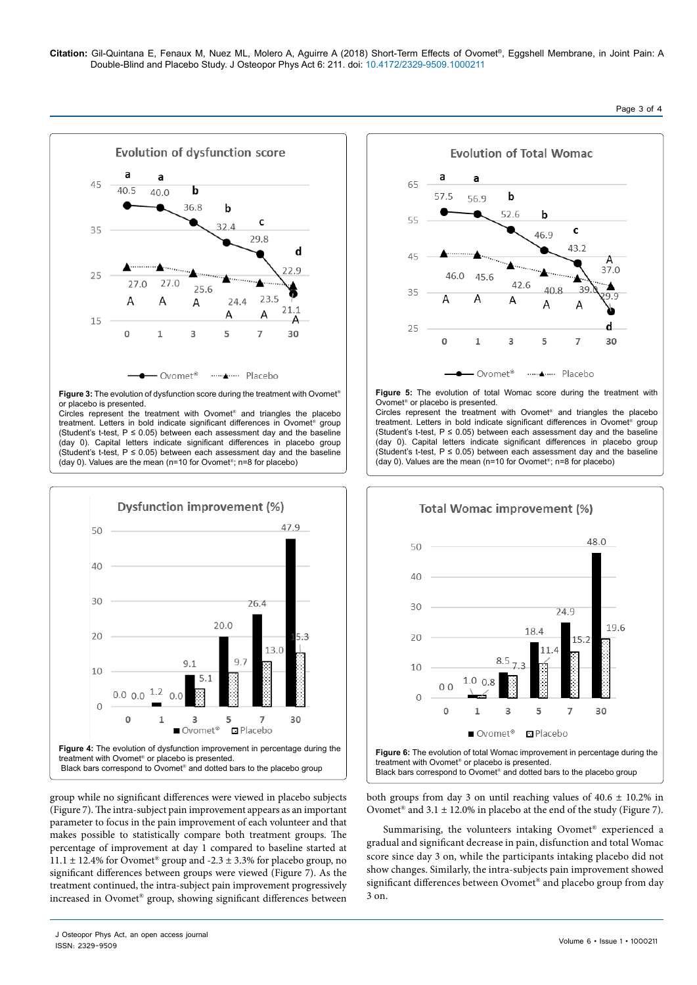

**Figure 3:** The evolution of dysfunction score during the treatment with Ovomet<sup>®</sup> or placebo is presented.

Circles represent the treatment with Ovomet<sup>®</sup> and triangles the placebo treatment. Letters in bold indicate significant differences in Ovomet® group (Student's t-test,  $P \le 0.05$ ) between each assessment day and the baseline (day 0). Capital letters indicate significant differences in placebo group (Student's t-test,  $P \le 0.05$ ) between each assessment day and the baseline (day 0). Values are the mean (n=10 for Ovomet®; n=8 for placebo)



group while no significant differences were viewed in placebo subjects (Figure 7). The intra-subject pain improvement appears as an important parameter to focus in the pain improvement of each volunteer and that makes possible to statistically compare both treatment groups. The percentage of improvement at day 1 compared to baseline started at 11.1  $\pm$  12.4% for Ovomet<sup>®</sup> group and -2.3  $\pm$  3.3% for placebo group, no significant differences between groups were viewed (Figure 7). As the treatment continued, the intra-subject pain improvement progressively increased in Ovomet® group, showing significant differences between



**Figure 5:** The evolution of total Womac score during the treatment with Ovomet® or placebo is presented.

Circles represent the treatment with Ovomet® and triangles the placebo treatment. Letters in bold indicate significant differences in Ovomet® group (Student's t-test,  $P \le 0.05$ ) between each assessment day and the baseline (day 0). Capital letters indicate significant differences in placebo group (Student's t-test,  $P \le 0.05$ ) between each assessment day and the baseline (day 0). Values are the mean (n=10 for Ovomet®; n=8 for placebo)



both groups from day 3 on until reaching values of  $40.6 \pm 10.2\%$  in Ovomet<sup>®</sup> and  $3.1 \pm 12.0\%$  in placebo at the end of the study (Figure 7).

Summarising, the volunteers intaking Ovomet® experienced a gradual and significant decrease in pain, disfunction and total Womac score since day 3 on, while the participants intaking placebo did not show changes. Similarly, the intra-subjects pain improvement showed significant differences between Ovomet® and placebo group from day 3 on.

J Osteopor Phys Act, an open access journal<br>ISSN: 2329-9509 ISSN: 2329-9509 Volume 6 • Issue 1 • 1000211